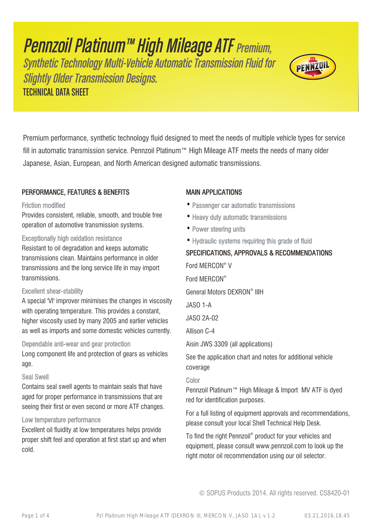Pennzoil Platinum™ High Mileage ATF Premium, Synthetic Technology Multi-Vehicle Automatic Transmission Fluid for Slightly Older Transmission Designs. TECHNICAL DATA SHEET

Premium performance, synthetic technology fluid designed to meet the needs of multiple vehicle types for service fill in automatic transmission service. Pennzoil Platinum™ High Mileage ATF meets the needs of many older Japanese, Asian, European, and North American designed automatic transmissions.

# PERFORMANCE, FEATURES & BENEFITS

#### Friction modified

Provides consistent, reliable, smooth, and trouble free operation of automotive transmission systems.

Exceptionally high oxidation resistance Resistant to oil degradation and keeps automatic transmissions clean. Maintains performance in older transmissions and the long service life in may import transmissions.

## Excellent shear-stability

A special 'VI' improver minimises the changes in viscosity with operating temperature. This provides a constant, higher viscosity used by many 2005 and earlier vehicles as well as imports and some domestic vehicles currently.

Dependable anti-wear and gear protection Long component life and protection of gears as vehicles age.

## Seal Swell

Contains seal swell agents to maintain seals that have aged for proper performance in transmissions that are seeing their first or even second or more ATF changes.

## Low temperature performance

Excellent oil fluidity at low temperatures helps provide proper shift feel and operation at first start up and when cold.

# MAIN APPLICATIONS

- · Passenger car automatic transmissions
- · Heavy duty automatic transmissions
- · Power steering units
- · Hydraulic systems requiring this grade of fluid

# SPECIFICATIONS, APPROVALS & RECOMMENDATIONS

PENNZOI

Ford MERCON® V Ford MERCON® General Motors DEXRON® IIIH JASO 1-A JASO 2A-02 Allison C-4 Aisin JWS 3309 (all applications) See the application chart and notes for additional vehicle coverage

## Color

Pennzoil Platinum™ High Mileage & Import MV ATF is dyed red for identification purposes.

For a full listing of equipment approvals and recommendations, please consult your local Shell Technical Help Desk.

To find the right Pennzoil® product for your vehicles and equipment, please consult www.pennzoil.com to look up the right motor oil recommendation using our oil selector.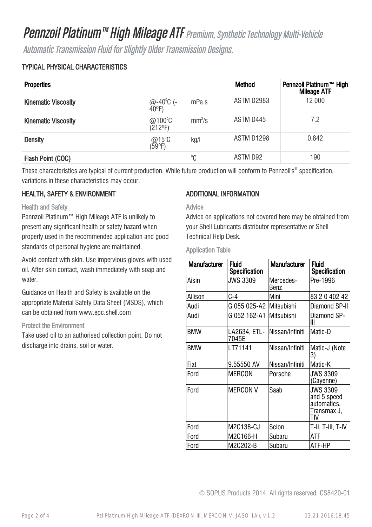# Pennzoil Platinum<sup>™</sup> High Mileage ATF Premium, Synthetic Technology Multi-Vehicle Automatic Transmission Fluid for Slightly Older Transmission Designs.

# TYPICAL PHYSICAL CHARACTERISTICS

| <b>Properties</b>          |                                               |                    | <b>Method</b>   | Pennzoil Platinum™ High<br><b>Mileage ATF</b> |
|----------------------------|-----------------------------------------------|--------------------|-----------------|-----------------------------------------------|
| <b>Kinematic Viscosity</b> | $@ - 40^{\circ}C$ (-<br>$40^{\circ}$ F)       | mPa.s              | ASTM D2983      | 12 000                                        |
| <b>Kinematic Viscosity</b> | @100 $\mathrm{^{\circ}C}$<br>$(212^{\circ}F)$ | mm <sup>2</sup> /s | ASTM D445       | 7.2                                           |
| <b>Density</b>             | @15 $^{\circ}$ C<br>(59ºF)                    | kg/l               | ASTM D1298      | 0.842                                         |
| Flash Point (COC)          |                                               | $^0C$              | <b>ASTM D92</b> | 190                                           |

These characteristics are typical of current production. While future production will conform to Pennzoil's® specification, variations in these characteristics may occur.

# HEALTH, SAFETY & ENVIRONMENT

## Health and Safety

Pennzoil Platinum™ High Mileage ATF is unlikely to present any significant health or safety hazard when properly used in the recommended application and good standards of personal hygiene are maintained.

Avoid contact with skin. Use impervious gloves with used oil. After skin contact, wash immediately with soap and water.

Guidance on Health and Safety is available on the appropriate Material Safety Data Sheet (MSDS), which can be obtained from www.epc.shell.com

## Protect the Environment

Take used oil to an authorised collection point. Do not discharge into drains, soil or water.

# ADDITIONAL INFORMATION

## Advice

Advice on applications not covered here may be obtained from your Shell Lubricants distributor representative or Shell Technical Help Desk.

Application Table

| <b>Manufacturer</b> | <b>Fluid</b><br>Specification | <b>Manufacturer</b> | <b>Fluid</b><br>Specification                                       |
|---------------------|-------------------------------|---------------------|---------------------------------------------------------------------|
| Aisin               | <b>JWS 3309</b>               | Mercedes-<br>Benz   | Pre-1996                                                            |
| Allison             | $C-4$                         | Mini                | 83 2 0 402 42                                                       |
| Audi                | G 055 025-A2                  | Mitsubishi          | Diamond SP-II                                                       |
| Audi                | G 052 162-A1 Mitsubishi       |                     | Diamond SP-<br>Ш                                                    |
| <b>BMW</b>          | LA2634, ETL-<br>7045E         | Nissan/Infiniti     | Matic-D                                                             |
| <b>BMW</b>          | LT71141                       | Nissan/Infiniti     | Matic-J (Note<br>3)                                                 |
| Fiat                | 9.55550 AV                    | Nissan/Infiniti     | Matic-K                                                             |
| Ford                | <b>MERCON</b>                 | Porsche             | <b>JWS 3309</b><br>(Cayenne)                                        |
| Ford                | <b>MERCON V</b>               | Saab                | <b>JWS 3309</b><br>and 5 speed<br>automatics,<br>Transmax J,<br>tiv |
| Ford                | M2C138-CJ                     | Scion               | T-II, T-III, T-IV                                                   |
| Ford                | M2C166-H                      | Subaru              | ATF                                                                 |
| Ford                | M2C202-B                      | Subaru              | ATF-HP                                                              |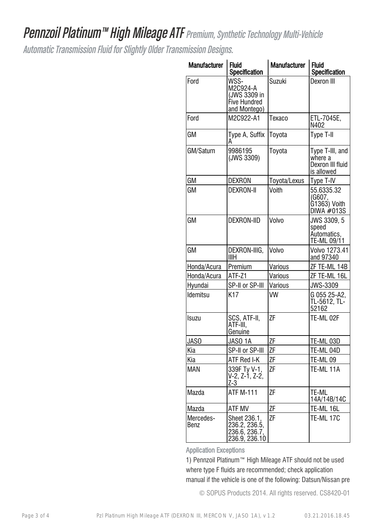# Pennzoil Platinum<sup>™</sup> High Mileage ATF Premium, Synthetic Technology Multi-Vehicle

Automatic Transmission Fluid for Slightly Older Transmission Designs.

| <b>Manufacturer</b> | <b>Fluid</b><br>Specification                                    | <b>Manufacturer</b> | <b>Fluid</b><br>Specification                                |
|---------------------|------------------------------------------------------------------|---------------------|--------------------------------------------------------------|
| Ford                | WSS-<br>M2C924-A<br>(JWS 3309 in<br>Five Hundred<br>and Montego) | Suzuki              | <b>Dexron III</b>                                            |
| Ford                | M2C922-A1                                                        | Texaco              | ETL-7045E,<br>N402                                           |
| GM                  | Type A, Suffix<br>А                                              | Toyota              | Type T-II                                                    |
| GM/Saturn           | 9986195<br>(JWS 3309)                                            | Toyota              | Type T-III, and<br>where a<br>Dexron III fluid<br>is allowed |
| GM                  | <b>DEXRON</b>                                                    | Toyota/Lexus        | Type T-IV                                                    |
| GM                  | <b>DEXRON-II</b>                                                 | Voith               | 55.6335.32<br>(G607,<br>G1363) Voith<br>DIWA $#013S$         |
| GM                  | <b>DEXRON-IID</b>                                                | Volvo               | JWS 3309, 5<br>speed<br>Automatics,<br>TE-ML 09/11           |
| GM                  | DEXRON-IIIG,<br>IIIH                                             | Volvo               | Volvo 1273.41<br>and 97340                                   |
| Honda/Acura         | Premium                                                          | Various             | ZF TE-ML 14B                                                 |
| Honda/Acura         | ATF-Z1                                                           | Various             | ZF TE-ML 16L                                                 |
| Hyundai             | SP-II or SP-III                                                  | Various             | <b>JWS-3309</b>                                              |
| <b>Idemitsu</b>     | K17                                                              | VW                  | G 055 25-A2,<br>TL-5612, TL-<br>52162                        |
| <b>Isuzu</b>        | SCS, ATF-II,<br>ATF-III,<br>Genuine                              | ΖF                  | TE-ML 02F                                                    |
| JAS0                | JASO 1A                                                          | ΖF                  | TE-ML 03D                                                    |
| Kia                 | SP-II or SP-III                                                  | ΖF                  | TE-ML 04D                                                    |
| Kia                 | ATF Red I-K                                                      | ΖF                  | <b>TE-ML 09</b>                                              |
| <b>MAN</b>          | 339F Ty V-1,<br>V-2, Z-1, Z-2,<br>$Z-3$                          | ZF                  | TE-ML 11A                                                    |
| Mazda               | <b>ATF M-111</b>                                                 | ΖF                  | <b>TE-ML</b><br>14A/14B/14C                                  |
| Mazda               | atf MV                                                           | ΖF                  | TE-ML 16L                                                    |
| Mercedes-<br>Benz   | Sheet 236.1,<br>236.2, 236.5,<br>236.6, 236.7,<br>236.9, 236.10  | ΖF                  | TE-ML 17C                                                    |

Application Exceptions

1) Pennzoil Platinum™ High Mileage ATF should not be used where type F fluids are recommended; check application manual if the vehicle is one of the following: Datsun/Nissan pre